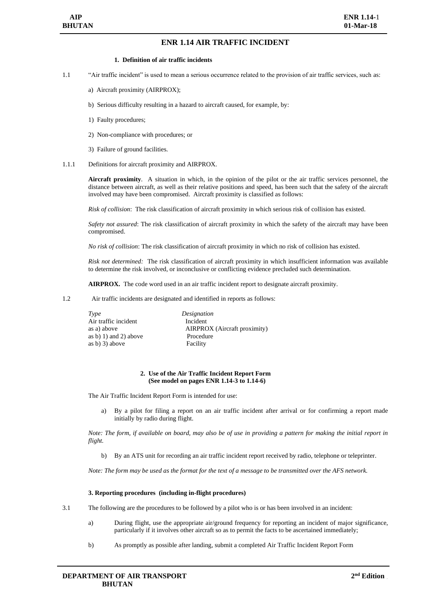## **ENR 1.14 AIR TRAFFIC INCIDENT**

## **1. Definition of air traffic incidents**

- 1.1 "Air traffic incident" is used to mean a serious occurrence related to the provision of air traffic services, such as:
	- a) Aircraft proximity (AIRPROX);
	- b) Serious difficulty resulting in a hazard to aircraft caused, for example, by:
	- 1) Faulty procedures;
	- 2) Non-compliance with procedures; or
	- 3) Failure of ground facilities.
- 1.1.1 Definitions for aircraft proximity and AIRPROX.

**Aircraft proximity**. A situation in which, in the opinion of the pilot or the air traffic services personnel, the distance between aircraft, as well as their relative positions and speed, has been such that the safety of the aircraft involved may have been compromised. Aircraft proximity is classified as follows:

*Risk of collision*: The risk classification of aircraft proximity in which serious risk of collision has existed.

*Safety not assured*: The risk classification of aircraft proximity in which the safety of the aircraft may have been compromised.

*No risk of collision*: The risk classification of aircraft proximity in which no risk of collision has existed.

*Risk not determined:* The risk classification of aircraft proximity in which insufficient information was available to determine the risk involved, or inconclusive or conflicting evidence precluded such determination.

**AIRPROX.** The code word used in an air traffic incident report to designate aircraft proximity.

1.2 Air traffic incidents are designated and identified in reports as follows:

| Type                  | Designation                  |
|-----------------------|------------------------------|
| Air traffic incident  | Incident                     |
| as a) above           | AIRPROX (Aircraft proximity) |
| as b) 1) and 2) above | Procedure                    |
| as b) 3) above        | Facility                     |
|                       |                              |

#### **2. Use of the Air Traffic Incident Report Form (See model on pages ENR 1.14-3 to 1.14-6)**

The Air Traffic Incident Report Form is intended for use:

a) By a pilot for filing a report on an air traffic incident after arrival or for confirming a report made initially by radio during flight.

*Note: The form, if available on board, may also be of use in providing a pattern for making the initial report in flight.*

b) By an ATS unit for recording an air traffic incident report received by radio, telephone or teleprinter.

*Note: The form may be used as the format for the text of a message to be transmitted over the AFS network.*

#### **3. Reporting procedures (including in-flight procedures)**

- 3.1 The following are the procedures to be followed by a pilot who is or has been involved in an incident:
	- a) During flight, use the appropriate air/ground frequency for reporting an incident of major significance, particularly if it involves other aircraft so as to permit the facts to be ascertained immediately;
	- b) As promptly as possible after landing, submit a completed Air Traffic Incident Report Form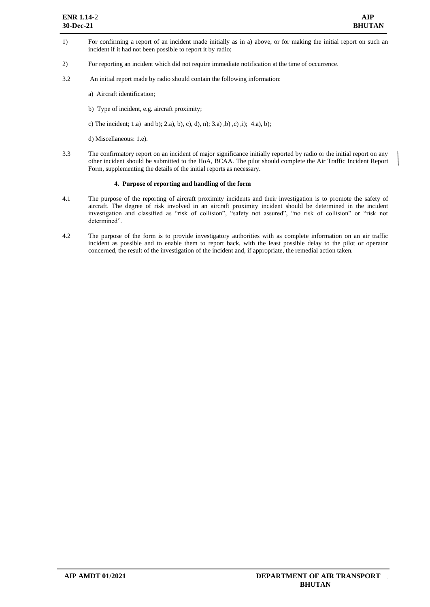- 1) For confirming a report of an incident made initially as in a) above, or for making the initial report on such an incident if it had not been possible to report it by radio;
- 2) For reporting an incident which did not require immediate notification at the time of occurrence.
- 3.2 An initial report made by radio should contain the following information:
	- a) Aircraft identification;
	- b) Type of incident, e.g. aircraft proximity;
	- c) The incident; 1.a) and b); 2.a), b), c), d), n); 3.a), b), c), i); 4.a), b);
	- d) Miscellaneous: 1.e).
- 3.3 The confirmatory report on an incident of major significance initially reported by radio or the initial report on any other incident should be submitted to the HoA, BCAA. The pilot should complete the Air Traffic Incident Report Form, supplementing the details of the initial reports as necessary.

### **4. Purpose of reporting and handling of the form**

- 4.1 The purpose of the reporting of aircraft proximity incidents and their investigation is to promote the safety of aircraft. The degree of risk involved in an aircraft proximity incident should be determined in the incident investigation and classified as "risk of collision", "safety not assured", "no risk of collision" or "risk not determined".
- 4.2 The purpose of the form is to provide investigatory authorities with as complete information on an air traffic incident as possible and to enable them to report back, with the least possible delay to the pilot or operator concerned, the result of the investigation of the incident and, if appropriate, the remedial action taken.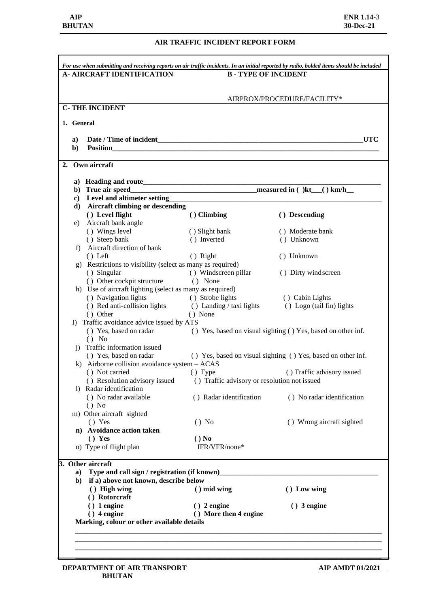# **AIR TRAFFIC INCIDENT REPORT FORM**

|                    | <b>A- AIRCRAFT IDENTIFICATION</b>                                            | <b>B-TYPE OF INCIDENT</b>                                    |                                                              |  |
|--------------------|------------------------------------------------------------------------------|--------------------------------------------------------------|--------------------------------------------------------------|--|
|                    |                                                                              |                                                              | AIRPROX/PROCEDURE/FACILITY*                                  |  |
|                    | <b>C-THE INCIDENT</b>                                                        |                                                              |                                                              |  |
|                    | 1. General                                                                   |                                                              |                                                              |  |
|                    |                                                                              |                                                              |                                                              |  |
| a)<br>$\mathbf{b}$ | <b>Position</b>                                                              |                                                              | <b>UTC</b>                                                   |  |
|                    |                                                                              |                                                              |                                                              |  |
|                    | Own aircraft                                                                 |                                                              |                                                              |  |
|                    |                                                                              |                                                              |                                                              |  |
|                    | b) True air speed                                                            |                                                              |                                                              |  |
|                    |                                                                              |                                                              |                                                              |  |
|                    | d) Aircraft climbing or descending                                           |                                                              |                                                              |  |
|                    | () Level flight                                                              | () Climbing                                                  | () Descending                                                |  |
| e)                 | Aircraft bank angle                                                          |                                                              |                                                              |  |
|                    | () Wings level                                                               | () Slight bank                                               | () Moderate bank                                             |  |
|                    | () Steep bank                                                                | () Inverted                                                  | () Unknown                                                   |  |
| f)                 | Aircraft direction of bank                                                   |                                                              |                                                              |  |
|                    | $()$ Left                                                                    | () Right                                                     | () Unknown                                                   |  |
| g)                 | Restrictions to visibility (select as many as required)                      |                                                              |                                                              |  |
|                    | () Singular                                                                  | () Windscreen pillar                                         | () Dirty windscreen                                          |  |
|                    | () Other cockpit structure                                                   | () None                                                      |                                                              |  |
|                    | h) Use of aircraft lighting (select as many as required)                     |                                                              |                                                              |  |
|                    | () Navigation lights<br>() Navigation lights<br>() Red anti-collision lights | () Strobe lights                                             | () Cabin Lights                                              |  |
|                    |                                                                              | () Landing / taxi lights                                     | () Logo (tail fin) lights                                    |  |
|                    | () Other<br>I) Traffic avoidance advice issued by ATS                        | () None                                                      |                                                              |  |
|                    | () Yes, based on radar                                                       | () Yes, based on visual sighting () Yes, based on other inf. |                                                              |  |
|                    | () No                                                                        |                                                              |                                                              |  |
| $\mathbf{1}$       | Traffic information issued                                                   |                                                              |                                                              |  |
|                    | () Yes, based on radar                                                       |                                                              | () Yes, based on visual sighting () Yes, based on other inf. |  |
|                    | k) Airborne collision avoidance system $-$ ACAS                              |                                                              |                                                              |  |
|                    | () Not carried                                                               | () Type                                                      | () Traffic advisory issued                                   |  |
|                    | () Resolution advisory issued                                                | () Traffic advisory or resolution not issued                 |                                                              |  |
|                    | 1) Radar identification                                                      |                                                              |                                                              |  |
|                    | () No radar available                                                        | () Radar identification                                      | () No radar identification                                   |  |
|                    | $()$ No                                                                      |                                                              |                                                              |  |
|                    | m) Other aircraft sighted                                                    |                                                              |                                                              |  |
|                    | () Yes                                                                       | $()$ No                                                      | () Wrong aircraft sighted                                    |  |
|                    | n) Avoidance action taken                                                    |                                                              |                                                              |  |
|                    | $()$ Yes                                                                     | $()$ No                                                      |                                                              |  |
|                    | o) Type of flight plan                                                       | IFR/VFR/none*                                                |                                                              |  |
|                    |                                                                              |                                                              |                                                              |  |
|                    | 3. Other aircraft                                                            |                                                              |                                                              |  |
| a)                 | Type and call sign / registration (if known)                                 |                                                              |                                                              |  |
| b)                 | if a) above not known, describe below                                        |                                                              |                                                              |  |
|                    | () High wing                                                                 | $()$ mid wing                                                | () Low wing                                                  |  |
|                    | () Rotorcraft                                                                |                                                              |                                                              |  |
|                    | $()$ 1 engine                                                                | $()$ 2 engine                                                | $()$ 3 engine                                                |  |
|                    | $()$ 4 engine                                                                | () More then 4 engine                                        |                                                              |  |
|                    | Marking, colour or other available details                                   |                                                              |                                                              |  |
|                    |                                                                              |                                                              |                                                              |  |